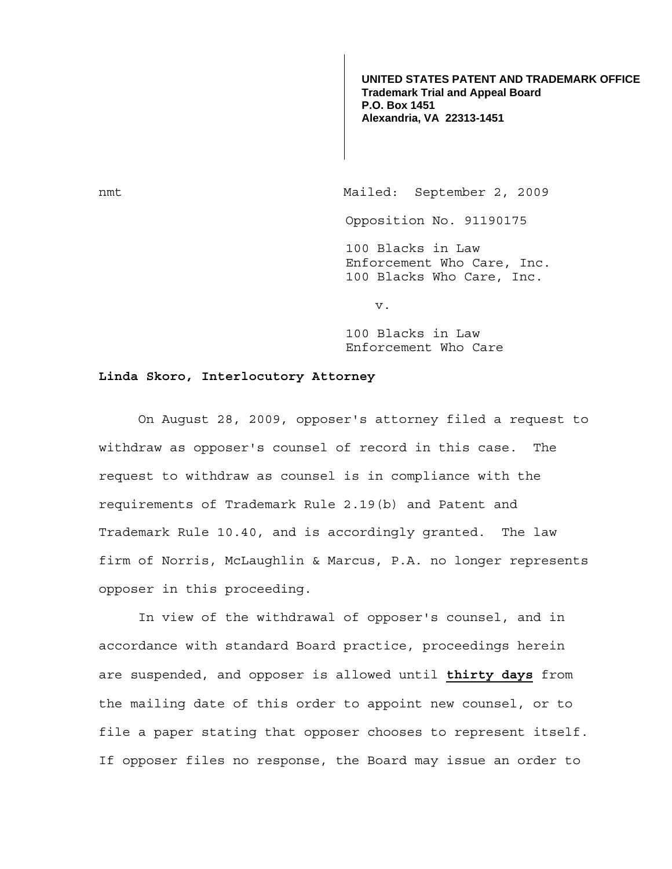**UNITED STATES PATENT AND TRADEMARK OFFICE Trademark Trial and Appeal Board P.O. Box 1451 Alexandria, VA 22313-1451**

nmt Mailed: September 2, 2009 Opposition No. 91190175 100 Blacks in Law Enforcement Who Care, Inc. 100 Blacks Who Care, Inc.

v.

100 Blacks in Law Enforcement Who Care

## **Linda Skoro, Interlocutory Attorney**

 On August 28, 2009, opposer's attorney filed a request to withdraw as opposer's counsel of record in this case. The request to withdraw as counsel is in compliance with the requirements of Trademark Rule 2.19(b) and Patent and Trademark Rule 10.40, and is accordingly granted. The law firm of Norris, McLaughlin & Marcus, P.A. no longer represents opposer in this proceeding.

 In view of the withdrawal of opposer's counsel, and in accordance with standard Board practice, proceedings herein are suspended, and opposer is allowed until **thirty days** from the mailing date of this order to appoint new counsel, or to file a paper stating that opposer chooses to represent itself. If opposer files no response, the Board may issue an order to